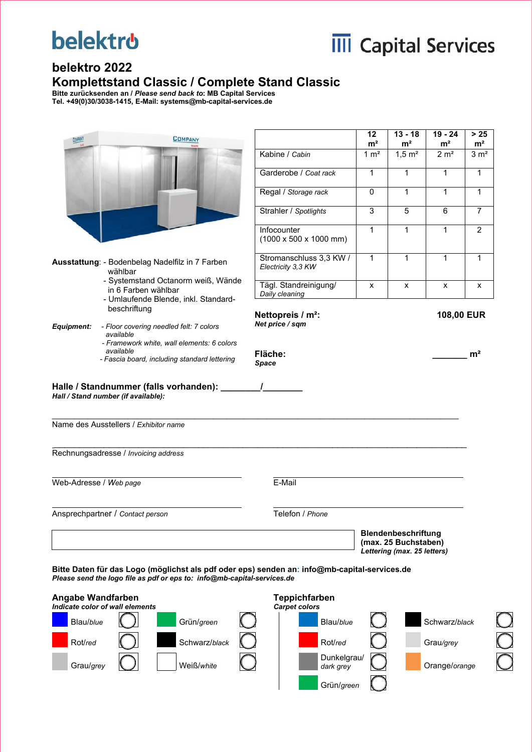# **belektro**



#### **belektro 2022 Komplettstand Classic / Complete Stand Classic**

**Bitte zurücksenden an /** *Please send back to***: MB Capital Services Tel. +49(0)30/3038-1415, E-Mail: systems@mb-capital-services.de** 

|                          | <b>COMPANY</b>                                                                                                                                                          |                                                           | 12<br>m <sup>2</sup> | $13 - 18$<br>m <sup>2</sup>                         | $19 - 24$<br>m <sup>2</sup> | $>25$<br>m <sup>2</sup> |
|--------------------------|-------------------------------------------------------------------------------------------------------------------------------------------------------------------------|-----------------------------------------------------------|----------------------|-----------------------------------------------------|-----------------------------|-------------------------|
|                          |                                                                                                                                                                         | Kabine / Cabin                                            | 1 $m^2$              | $1,5 \; \text{m}^2$                                 | 2 m <sup>2</sup>            | 3 m <sup>2</sup>        |
|                          |                                                                                                                                                                         | Garderobe / Coat rack                                     | $\mathbf{1}$         | 1                                                   | 1                           | 1                       |
|                          |                                                                                                                                                                         | Regal / Storage rack                                      | $\mathbf{0}$         | $\mathbf{1}$                                        | $\mathbf{1}$                | $\mathbf{1}$            |
|                          |                                                                                                                                                                         | Strahler / Spotlights                                     | $\sqrt{3}$           | 5                                                   | 6                           | $\overline{7}$          |
|                          |                                                                                                                                                                         | Infocounter<br>$(1000 \times 500 \times 1000 \text{ mm})$ | $\mathbf{1}$         | 1                                                   | 1                           | $\overline{2}$          |
|                          | Ausstattung: - Bodenbelag Nadelfilz in 7 Farben<br>wählbar                                                                                                              | Stromanschluss 3,3 KW /<br>Electricity 3,3 KW             | $\mathbf{1}$         | 1                                                   | 1                           | 1                       |
|                          | - Systemstand Octanorm weiß, Wände<br>in 6 Farben wählbar<br>- Umlaufende Blende, inkl. Standard-                                                                       | Tägl. Standreinigung/<br>Daily cleaning                   | X                    | $\pmb{\mathsf{x}}$                                  | X                           | X                       |
|                          | beschriftung                                                                                                                                                            | Nettopreis / m <sup>2</sup> :                             |                      |                                                     | 108,00 EUR                  |                         |
| <b>Equipment:</b>        | - Floor covering needled felt: 7 colors<br>available                                                                                                                    | Net price / sqm                                           |                      |                                                     |                             |                         |
|                          | - Framework white, wall elements: 6 colors<br>available                                                                                                                 | Fläche:                                                   |                      |                                                     |                             | m <sup>2</sup>          |
|                          | - Fascia board, including standard lettering                                                                                                                            | <b>Space</b>                                              |                      |                                                     |                             |                         |
|                          | Name des Ausstellers / Exhibitor name                                                                                                                                   |                                                           |                      |                                                     |                             |                         |
|                          | Rechnungsadresse / Invoicing address                                                                                                                                    |                                                           |                      |                                                     |                             |                         |
|                          |                                                                                                                                                                         | E-Mail                                                    |                      |                                                     |                             |                         |
|                          | Ansprechpartner / Contact person                                                                                                                                        | Telefon / Phone                                           |                      |                                                     |                             |                         |
|                          |                                                                                                                                                                         |                                                           |                      | Blendenbeschriftung                                 |                             |                         |
| Web-Adresse / Web page   |                                                                                                                                                                         |                                                           |                      | (max. 25 Buchstaben)<br>Lettering (max. 25 letters) |                             |                         |
|                          | Bitte Daten für das Logo (möglichst als pdf oder eps) senden an: info@mb-capital-services.de<br>Please send the logo file as pdf or eps to: info@mb-capital-services.de |                                                           |                      |                                                     |                             |                         |
| <b>Angabe Wandfarben</b> |                                                                                                                                                                         | <b>Teppichfarben</b>                                      |                      |                                                     |                             |                         |
|                          | Indicate color of wall elements                                                                                                                                         | <b>Carpet colors</b>                                      |                      |                                                     |                             |                         |
| Blau/blue                | Grün/green                                                                                                                                                              | Blau/blue                                                 |                      |                                                     | Schwarz/black               |                         |
| Rot/red                  | Schwarz/black                                                                                                                                                           | Rot/red<br>Dunkelgrau/                                    |                      |                                                     | Grau/grey                   |                         |
| Grau/grey                | Weiß/white                                                                                                                                                              | dark grey                                                 |                      |                                                     | Orange/orange               |                         |